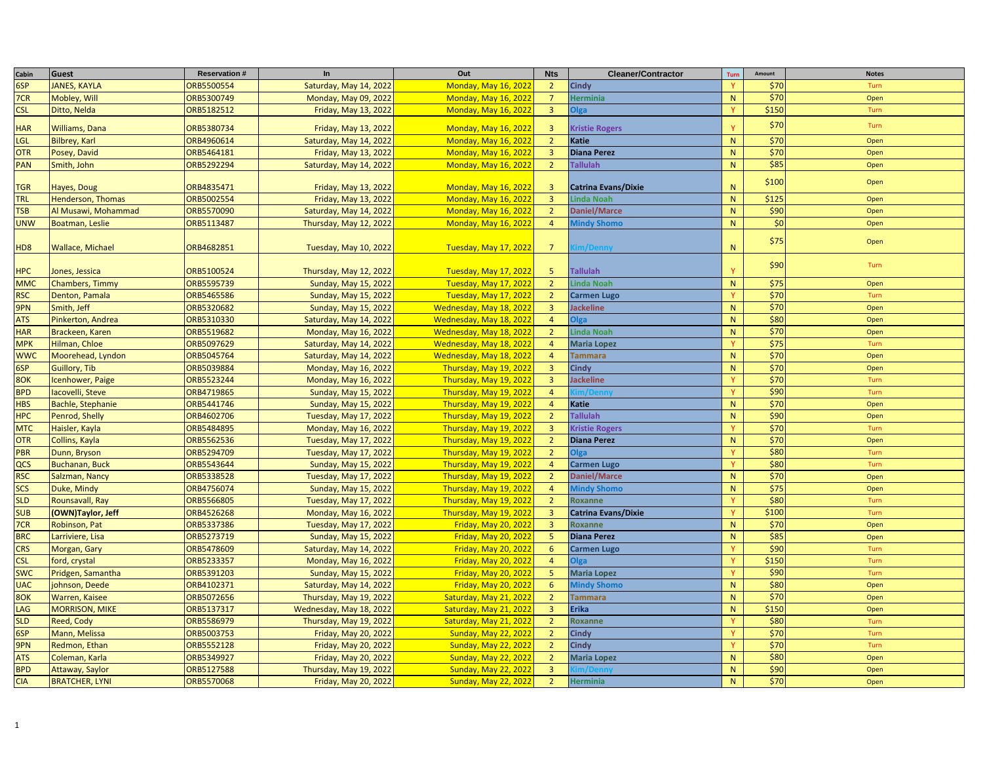| Cabin           | Guest                  | <b>Reservation#</b> | In                           | Out                          | <b>Nts</b>              | <b>Cleaner/Contractor</b>  | Turn         | Amount | <b>Notes</b> |
|-----------------|------------------------|---------------------|------------------------------|------------------------------|-------------------------|----------------------------|--------------|--------|--------------|
| 6SP             | <b>JANES, KAYLA</b>    | ORB5500554          | Saturday, May 14, 2022       | <b>Monday, May 16, 2022</b>  | $\overline{2}$          | <b>Cindy</b>               | $\mathbf{v}$ | \$70   | Turn         |
| 7CR             | Mobley, Will           | ORB5300749          | Monday, May 09, 2022         | <b>Monday, May 16, 2022</b>  | $\overline{7}$          | <b>Herminia</b>            | N            | \$70   | Open         |
| <b>CSL</b>      | Ditto, Nelda           | ORB5182512          | Friday, May 13, 2022         | <b>Monday, May 16, 2022</b>  | $\overline{3}$          | Olga                       | <b>V</b>     | \$150  | Turn         |
| <b>HAR</b>      | Williams, Dana         | ORB5380734          | Friday, May 13, 2022         | <b>Monday, May 16, 2022</b>  | $\overline{\mathbf{3}}$ | <b>Kristie Rogers</b>      |              | \$70   | Turn         |
| <b>LGL</b>      | <b>Bilbrey, Karl</b>   | ORB4960614          | Saturday, May 14, 2022       | <b>Monday, May 16, 2022</b>  | $\overline{2}$          | Katie                      | ${\sf N}$    | \$70   | Open         |
| <b>OTR</b>      | Posey, David           | ORB5464181          | Friday, May 13, 2022         | <b>Monday, May 16, 2022</b>  | $\overline{3}$          | <b>Diana Perez</b>         | ${\sf N}$    | \$70   | Open         |
| <b>PAN</b>      | Smith, John            | ORB5292294          | Saturday, May 14, 2022       | <b>Monday, May 16, 2022</b>  | $\overline{2}$          | <b>Tallulah</b>            | N            | \$85   | Open         |
| <b>TGR</b>      | Hayes, Doug            | ORB4835471          | Friday, May 13, 2022         | <b>Monday, May 16, 2022</b>  | $\overline{3}$          | <b>Catrina Evans/Dixie</b> | N            | \$100  | Open         |
| <b>TRL</b>      | Henderson, Thomas      | ORB5002554          | Friday, May 13, 2022         | <b>Monday, May 16, 2022</b>  | $\overline{3}$          | <b>Linda Noah</b>          | $\mathsf{N}$ | \$125  | Open         |
| <b>TSB</b>      | Al Musawi, Mohammad    | ORB5570090          | Saturday, May 14, 2022       | <b>Monday, May 16, 2022</b>  | $\overline{2}$          | <b>Daniel/Marce</b>        | ${\sf N}$    | \$90   | Open         |
| <b>UNW</b>      | Boatman, Leslie        | ORB5113487          | Thursday, May 12, 2022       | <b>Monday, May 16, 2022</b>  | $\overline{4}$          | <b>Mindy Shomo</b>         | N            | \$0    | Open         |
| HD <sub>8</sub> | Wallace, Michael       | ORB4682851          | Tuesday, May 10, 2022        | Tuesday, May 17, 2022        | $\overline{7}$          | m/Dennv                    | ${\sf N}$    | \$75   | Open         |
| <b>HPC</b>      | Jones, Jessica         | ORB5100524          | Thursday, May 12, 2022       | Tuesday, May 17, 2022        | 5 <sup>1</sup>          | <b>Tallulah</b>            |              | \$90   | Turn         |
| <b>MMC</b>      | <b>Chambers, Timmy</b> | ORB5595739          | <b>Sunday, May 15, 2022</b>  | <b>Tuesday, May 17, 2022</b> | $\overline{2}$          | <b>Linda Noah</b>          | ${\sf N}$    | \$75   | Open         |
| <b>RSC</b>      | Denton, Pamala         | ORB5465586          | Sunday, May 15, 2022         | Tuesday, May 17, 2022        | $\overline{2}$          | <b>Carmen Lugo</b>         |              | \$70   | Turn         |
| 9PN             | Smith, Jeff            | ORB5320682          | Sunday, May 15, 2022         | Wednesday, May 18, 2022      | $\overline{3}$          | Jackeline                  | $\mathsf{N}$ | \$70   | Open         |
| <b>ATS</b>      | Pinkerton, Andrea      | ORB5310330          | Saturday, May 14, 2022       | Wednesday, May 18, 2022      | $\overline{4}$          | <b>Olga</b>                | ${\sf N}$    | \$80   | Open         |
| <b>HAR</b>      | Brackeen, Karen        | ORB5519682          | Monday, May 16, 2022         | Wednesday, May 18, 2022      | $\overline{2}$          | <b>Linda Noah</b>          | ${\sf N}$    | \$70   | Open         |
| <b>MPK</b>      | Hilman, Chloe          | ORB5097629          | Saturday, May 14, 2022       | Wednesday, May 18, 2022      | $\overline{4}$          | <b>Maria Lopez</b>         | Y            | \$75   | Turn         |
| <b>WWC</b>      | Moorehead, Lyndon      | ORB5045764          | Saturday, May 14, 2022       | Wednesday, May 18, 2022      | $\overline{4}$          | <b>Tammara</b>             | N            | \$70   | Open         |
| 6SP             | Guillory, Tib          | ORB5039884          | Monday, May 16, 2022         | Thursday, May 19, 2022       | $\overline{3}$          | <b>Cindy</b>               | N            | \$70   | Open         |
| 8OK             | cenhower, Paige        | ORB5523244          | Monday, May 16, 2022         | Thursday, May 19, 2022       | $\overline{3}$          | <b>Jackeline</b>           | Y            | \$70   | Turn         |
| <b>BPD</b>      | acovelli, Steve        | ORB4719865          | Sunday, May 15, 2022         | Thursday, May 19, 2022       | $\overline{4}$          |                            |              | \$90   | Turn         |
| <b>HBS</b>      | Bachle, Stephanie      | ORB5441746          | Sunday, May 15, 2022         | Thursday, May 19, 2022       | $\overline{4}$          | Katie                      | N            | \$70   | Open         |
| <b>HPC</b>      | Penrod, Shelly         | ORB4602706          | <b>Tuesday, May 17, 2022</b> | Thursday, May 19, 2022       | $\overline{2}$          | <b>Tallulah</b>            | $\mathsf{N}$ | \$90   | Open         |
| <b>MTC</b>      | Haisler, Kayla         | ORB5484895          | Monday, May 16, 2022         | Thursday, May 19, 2022       | $\overline{3}$          | <b>Kristie Rogers</b>      |              | \$70   | Turn         |
| <b>OTR</b>      | Collins, Kayla         | ORB5562536          | Tuesday, May 17, 2022        | Thursday, May 19, 2022       | $\overline{2}$          | <b>Diana Perez</b>         | ${\sf N}$    | \$70   | Open         |
| <b>PBR</b>      | Dunn, Bryson           | ORB5294709          | Tuesday, May 17, 2022        | Thursday, May 19, 2022       | $2^{\circ}$             | <b>SalC</b>                |              | \$80   | Turn         |
| QCS             | <b>Buchanan, Buck</b>  | ORB5543644          | Sunday, May 15, 2022         | Thursday, May 19, 2022       | $\overline{4}$          | <b>Carmen Lugo</b>         |              | \$80   | Turn         |
| <b>RSC</b>      | Salzman, Nancy         | ORB5338528          | <b>Tuesday, May 17, 2022</b> | Thursday, May 19, 2022       | $\overline{2}$          | <b>Daniel/Marce</b>        | N            | \$70   | Open         |
| <b>SCS</b>      | Duke, Mindy            | ORB4756074          | Sunday, May 15, 2022         | Thursday, May 19, 2022       | $\overline{4}$          | <b>Mindy Shomo</b>         | N            | \$75   | Open         |
| <b>SLD</b>      | Rounsavall, Ray        | ORB5566805          | Tuesday, May 17, 2022        | Thursday, May 19, 2022       | $\overline{2}$          | Roxanne                    | Y            | \$80   | Turn         |
| <b>SUB</b>      | (OWN)Taylor, Jeff      | ORB4526268          | Monday, May 16, 2022         | Thursday, May 19, 2022       | $\overline{3}$          | <b>Catrina Evans/Dixie</b> | <b>V</b>     | \$100  | Turn         |
| 7CR             | Robinson, Pat          | ORB5337386          | Tuesday, May 17, 2022        | <b>Friday, May 20, 2022</b>  | $\overline{3}$          | Roxanne                    | ${\sf N}$    | \$70   | Open         |
| <b>BRC</b>      | Larriviere, Lisa       | ORB5273719          | Sunday, May 15, 2022         | <b>Friday, May 20, 2022</b>  | 5 <sup>°</sup>          | <b>Diana Perez</b>         | $\mathsf{N}$ | \$85   | Open         |
| <b>CRS</b>      | Morgan, Gary           | ORB5478609          | Saturday, May 14, 2022       | Friday, May 20, 2022         | $6\overline{6}$         | <b>Carmen Lugo</b>         |              | \$90   | Turn         |
| <b>CSL</b>      | ord, crystal           | ORB5233357          | Monday, May 16, 2022         | Friday, May 20, 2022         | $\overline{4}$          | <b>SalC</b>                |              | \$150  | Turn         |
| <b>SWC</b>      | Pridgen, Samantha      | ORB5391203          | Sunday, May 15, 2022         | <b>Friday, May 20, 2022</b>  | 5 <sup>°</sup>          | <b>Maria Lopez</b>         |              | \$90   | Turn         |
| <b>UAC</b>      | ohnson, Deede          | ORB4102371          | Saturday, May 14, 2022       | <b>Friday, May 20, 2022</b>  | $6^{\circ}$             | <b>Mindy Shomo</b>         | N            | \$80   | Open         |
| 8OK             | Warren, Kaisee         | ORB5072656          | Thursday, May 19, 2022       | Saturday, May 21, 2022       | $\overline{2}$          | <b>Tammara</b>             | N            | \$70   | Open         |
| LAG             | <b>MORRISON, MIKE</b>  | ORB5137317          | Wednesday, May 18, 2022      | Saturday, May 21, 2022       | $\overline{3}$          | <b>Erika</b>               | N            | \$150  | Open         |
| <b>SLD</b>      | Reed, Cody             | ORB5586979          | Thursday, May 19, 2022       | Saturday, May 21, 2022       | $2^{\circ}$             | Roxanne                    | Y            | \$80   | Turn         |
| 6SP             | Mann, Melissa          | ORB5003753          | Friday, May 20, 2022         | <b>Sunday, May 22, 2022</b>  | $\overline{2}$          | <b>Cindy</b>               | <b>V</b>     | \$70   | Turn         |
| 9PN             | Redmon, Ethan          | ORB5552128          | Friday, May 20, 2022         | <b>Sunday, May 22, 2022</b>  | $\overline{2}$          | <b>Cindy</b>               | $\mathbf v$  | \$70   | Turn         |
| <b>ATS</b>      | Coleman, Karla         | ORB5349927          | Friday, May 20, 2022         | <b>Sunday, May 22, 2022</b>  | $2^{\circ}$             | <b>Maria Lopez</b>         | N            | \$80   | Open         |
| <b>BPD</b>      | Attaway, Saylor        | ORB5127588          | Thursday, May 19, 2022       | <b>Sunday, May 22, 2022</b>  | $\overline{3}$          |                            | ${\sf N}$    | \$90   | Open         |
| <b>CIA</b>      | <b>BRATCHER, LYNI</b>  | ORB5570068          | Friday, May 20, 2022         | <b>Sunday, May 22, 2022</b>  | $\overline{2}$          | <b>Herminia</b>            | $\mathsf{N}$ | \$70   | Open         |